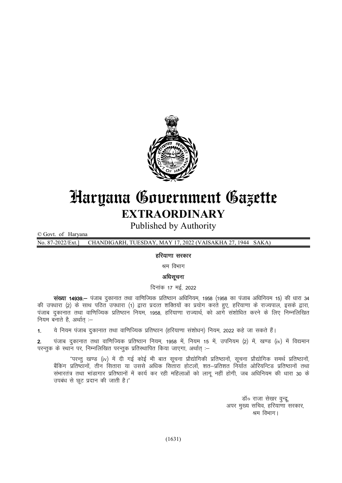

## Haryana Government Gazette EXTRAORDINARY

Published by Authority

© Govt. of Haryana

No. 87-2022/Ext.] CHANDIGARH, TUESDAY, MAY 17, 2022 (VAISAKHA 27, 1944 SAKA)

## हरियाणा सरकार

श्रम विभाग

## अधिसूचना

दिनांक 17 मई, 2022

संख्या 14939. - पंजाब दुकानात तथा वाणिज्यिक प्रतिष्ठान अधिनियम, 1958 (1958 का पंजाब अधिनियम 15) की धारा 34 की उपधारा (2) के साथ पठित उपधारा (1) द्वारा प्रदत्त शक्तियों का प्रयोग करते हुए, हरियाणा के राज्यपाल, इसके द्वारा, पंजाब दुकानात तथा वाणिज्यिक प्रतिष्ठान नियम, 1958, हरियाणा राज्यार्थ, को आगे संशोधित करने के लिए निम्नलिखित नियम बनाते है, अर्थात :-

1. ये नियम पंजाब दकानात तथा वाणिज्यिक प्रतिष्ठान (हरियाणा संशोधन) नियम. 2022 कहे जा सकते हैं।

2. पंजाब दुकानात तथा वाणिज्यिक प्रतिष्ठान नियम, 1958 में, नियम 15 में, उपनियम (2) में, खण्ड (iv) में विद्यमान परन्तुक के स्थान पर, निम्नलिखित परन्तुक प्रतिस्थापित किया जाएगा, अर्थात् :-

"परन्तु खण्ड (iv) में दी गई कोई भी बात सूचना प्रौद्योगिकी प्रतिष्ठानों, सूचना प्रौद्योगिक समर्थ प्रतिष्ठानों, बैंकिंग प्रतिष्ठानों, तीन सितारा या उससे अधिक सितारा होटलों, शत–प्रतिशत निर्यात ओरियन्टिड प्रतिष्ठानों तथा संभारतंत्र तथा भांडागार प्रतिष्ठानों में कार्य कर रही महिलाओं को लागू नहीं होगी, जब अधिनियम की धारा 30 के उपबंध से छूट प्रदान की जाती है।"

> डॉ० राजा सेखर वुन्द्र अपर मख्य सचिव, हरियाणा सरकार, श्रम विभाग।

(1631)